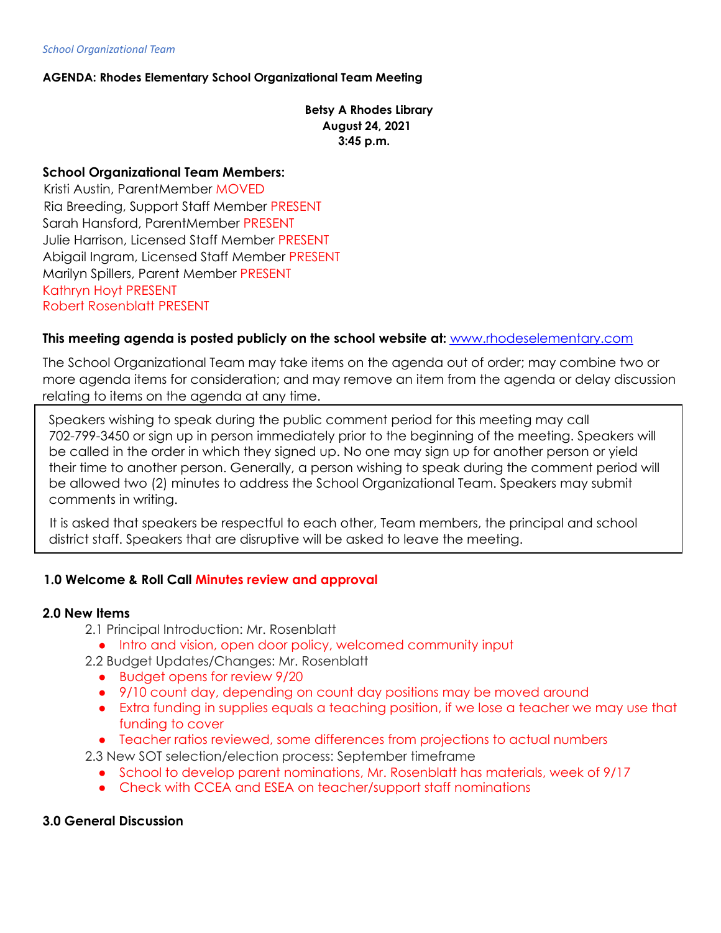*School Organizational Team*

## **AGENDA: Rhodes Elementary School Organizational Team Meeting**

**Betsy A Rhodes Library August 24, 2021 3:45 p.m.**

### **School Organizational Team Members:**

Kristi Austin, ParentMember MOVED Ria Breeding, Support Staff Member PRESENT Sarah Hansford, ParentMember PRESENT Julie Harrison, Licensed Staff Member PRESENT Abigail Ingram, Licensed Staff Member PRESENT Marilyn Spillers, Parent Member PRESENT Kathryn Hoyt PRESENT Robert Rosenblatt PRESENT

### **This meeting agenda is posted publicly on the school website at:** www.rhodeselementary.com

The School Organizational Team may take items on the agenda out of order; may combine two or more agenda items for consideration; and may remove an item from the agenda or delay discussion relating to items on the agenda at any time.

Speakers wishing to speak during the public comment period for this meeting may call 702-799-3450 or sign up in person immediately prior to the beginning of the meeting. Speakers will be called in the order in which they signed up. No one may sign up for another person or yield their time to another person. Generally, a person wishing to speak during the comment period will be allowed two (2) minutes to address the School Organizational Team. Speakers may submit comments in writing.

It is asked that speakers be respectful to each other, Team members, the principal and school district staff. Speakers that are disruptive will be asked to leave the meeting.

## **1.0 Welcome & Roll Call Minutes review and approval**

#### **2.0 New Items**

- 2.1 Principal Introduction: Mr. Rosenblatt
	- Intro and vision, open door policy, welcomed community input
- 2.2 Budget Updates/Changes: Mr. Rosenblatt
	- Budget opens for review 9/20
	- 9/10 count day, depending on count day positions may be moved around
	- Extra funding in supplies equals a teaching position, if we lose a teacher we may use that funding to cover
	- Teacher ratios reviewed, some differences from projections to actual numbers
- 2.3 New SOT selection/election process: September timeframe
	- School to develop parent nominations, Mr. Rosenblatt has materials, week of 9/17
	- Check with CCEA and ESEA on teacher/support staff nominations

#### **3.0 General Discussion**